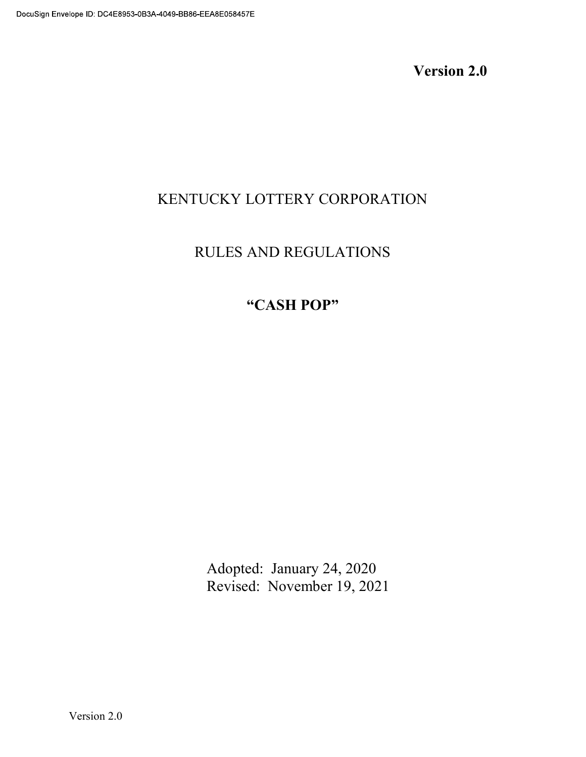Version 2.0

# KENTUCKY LOTTERY CORPORATION

# RULES AND REGULATIONS

# CASH POP

 Adopted: January 24, 2020 Revised: November 19, 2021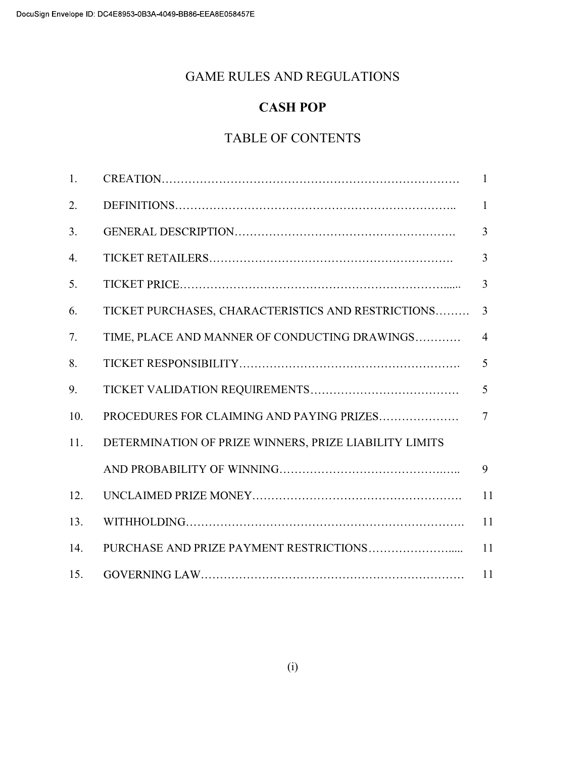# GAME RULES AND REGULATIONS

# CASH POP

# TABLE OF CONTENTS

| 1.  |                                                        | $\mathbf{1}$   |
|-----|--------------------------------------------------------|----------------|
| 2.  |                                                        | $\mathbf{1}$   |
| 3.  |                                                        | $\overline{3}$ |
| 4.  |                                                        | 3              |
| 5.  |                                                        | 3              |
| 6.  | TICKET PURCHASES, CHARACTERISTICS AND RESTRICTIONS     | 3              |
| 7.  | TIME, PLACE AND MANNER OF CONDUCTING DRAWINGS          | $\overline{4}$ |
| 8.  |                                                        | 5              |
| 9.  |                                                        | 5              |
| 10. | PROCEDURES FOR CLAIMING AND PAYING PRIZES              | $\overline{7}$ |
| 11. | DETERMINATION OF PRIZE WINNERS, PRIZE LIABILITY LIMITS |                |
|     |                                                        | 9              |
| 12. |                                                        | 11             |
| 13. |                                                        | 11             |
| 14. |                                                        | 11             |
| 15. |                                                        | 11             |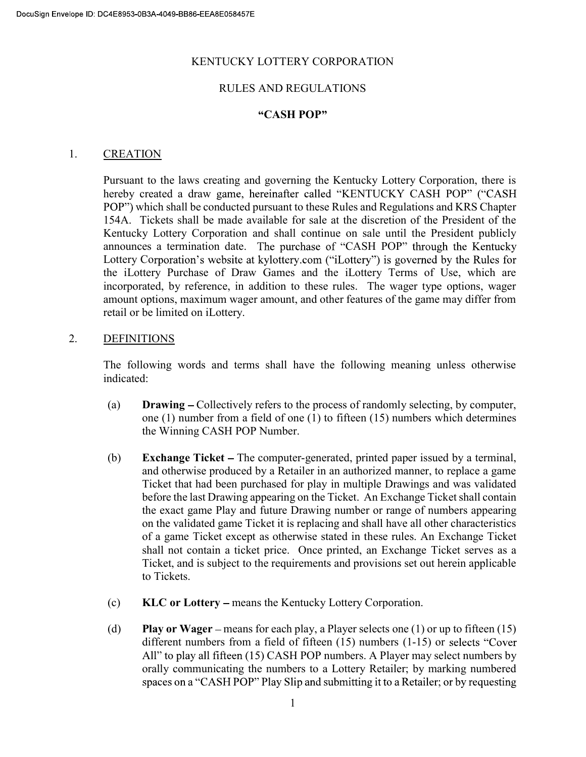#### KENTUCKY LOTTERY CORPORATION

#### RULES AND REGULATIONS

#### CASH POP

#### 1. CREATION

Pursuant to the laws creating and governing the Kentucky Lottery Corporation, there is hereby created a draw game, hereinafter called "KENTUCKY CASH POP" ("CASH POP") which shall be conducted pursuant to these Rules and Regulations and KRS Chapter 154A. Tickets shall be made available for sale at the discretion of the President of the Kentucky Lottery Corporation and shall continue on sale until the President publicly announces a termination date. The purchase of "CASH POP" through the Kentucky Lottery Corporation's website at kylottery.com ("iLottery") is governed by the Rules for the iLottery Purchase of Draw Games and the iLottery Terms of Use, which are incorporated, by reference, in addition to these rules. The wager type options, wager amount options, maximum wager amount, and other features of the game may differ from retail or be limited on iLottery.

#### 2. DEFINITIONS

The following words and terms shall have the following meaning unless otherwise indicated:

- (a) Drawing Collectively refers to the process of randomly selecting, by computer, one (1) number from a field of one (1) to fifteen (15) numbers which determines the Winning CASH POP Number.
- (b) Exchange Ticket The computer-generated, printed paper issued by a terminal, and otherwise produced by a Retailer in an authorized manner, to replace a game Ticket that had been purchased for play in multiple Drawings and was validated before the last Drawing appearing on the Ticket. An Exchange Ticket shall contain the exact game Play and future Drawing number or range of numbers appearing on the validated game Ticket it is replacing and shall have all other characteristics of a game Ticket except as otherwise stated in these rules. An Exchange Ticket shall not contain a ticket price. Once printed, an Exchange Ticket serves as a Ticket, and is subject to the requirements and provisions set out herein applicable to Tickets.
- (c) KLC or Lottery means the Kentucky Lottery Corporation.
- (d) Play or Wager means for each play, a Player selects one  $(1)$  or up to fifteen  $(15)$ different numbers from a field of fifteen (15) numbers (1-15) or selects "Cover All" to play all fifteen  $(15)$  CASH POP numbers. A Player may select numbers by orally communicating the numbers to a Lottery Retailer; by marking numbered spaces on a "CASH POP" Play Slip and submitting it to a Retailer; or by requesting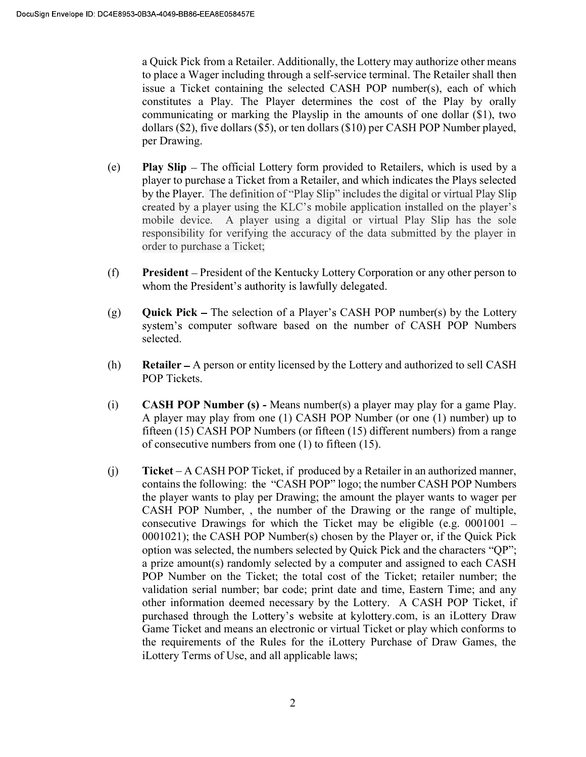a Quick Pick from a Retailer. Additionally, the Lottery may authorize other means to place a Wager including through a self-service terminal. The Retailer shall then issue a Ticket containing the selected CASH POP number(s), each of which constitutes a Play. The Player determines the cost of the Play by orally communicating or marking the Playslip in the amounts of one dollar (\$1), two dollars (\$2), five dollars (\$5), or ten dollars (\$10) per CASH POP Number played, per Drawing.

- (e) Play Slip The official Lottery form provided to Retailers, which is used by a player to purchase a Ticket from a Retailer, and which indicates the Plays selected by the Player. The definition of "Play Slip" includes the digital or virtual Play Slip created by a player using the KLC's mobile application installed on the player's mobile device. A player using a digital or virtual Play Slip has the sole responsibility for verifying the accuracy of the data submitted by the player in order to purchase a Ticket;
- (f) President President of the Kentucky Lottery Corporation or any other person to whom the President's authority is lawfully delegated.
- (g) **Quick Pick** The selection of a Player's CASH POP number(s) by the Lottery system's computer software based on the number of CASH POP Numbers selected.
- $(h)$  Retailer A person or entity licensed by the Lottery and authorized to sell CASH POP Tickets.
- (i) CASH POP Number (s) Means number(s) a player may play for a game Play. A player may play from one (1) CASH POP Number (or one (1) number) up to fifteen (15) CASH POP Numbers (or fifteen (15) different numbers) from a range of consecutive numbers from one (1) to fifteen (15).
- $(i)$  Ticket A CASH POP Ticket, if produced by a Retailer in an authorized manner, contains the following: the "CASH POP" logo; the number CASH POP Numbers the player wants to play per Drawing; the amount the player wants to wager per CASH POP Number, , the number of the Drawing or the range of multiple, consecutive Drawings for which the Ticket may be eligible (e.g.  $0001001 -$ 0001021); the CASH POP Number(s) chosen by the Player or, if the Quick Pick option was selected, the numbers selected by Quick Pick and the characters "QP"; a prize amount(s) randomly selected by a computer and assigned to each CASH POP Number on the Ticket; the total cost of the Ticket; retailer number; the validation serial number; bar code; print date and time, Eastern Time; and any other information deemed necessary by the Lottery. A CASH POP Ticket, if purchased through the Lottery's website at kylottery.com, is an iLottery Draw Game Ticket and means an electronic or virtual Ticket or play which conforms to the requirements of the Rules for the iLottery Purchase of Draw Games, the iLottery Terms of Use, and all applicable laws;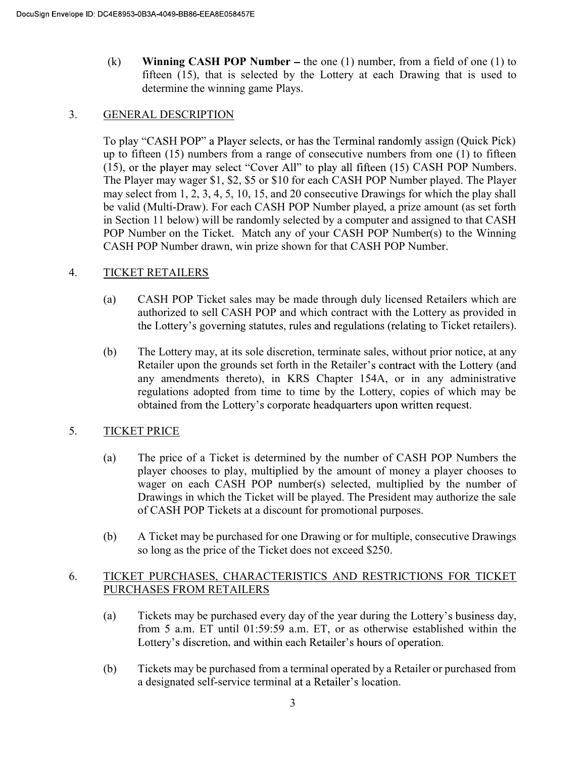(k) Winning CASH POP Number – the one (1) number, from a field of one (1) to fifteen (15), that is selected by the Lottery at each Drawing that is used to determine the winning game Plays.

### 3. GENERAL DESCRIPTION

To play "CASH POP" a Player selects, or has the Terminal randomly assign (Quick Pick) up to fifteen (15) numbers from a range of consecutive numbers from one (1) to fifteen (15), or the player may select "Cover All" to play all fifteen (15) CASH POP Numbers. The Player may wager \$1, \$2, \$5 or \$10 for each CASH POP Number played. The Player may select from 1, 2, 3, 4, 5, 10, 15, and 20 consecutive Drawings for which the play shall be valid (Multi-Draw). For each CASH POP Number played, a prize amount (as set forth in Section 11 below) will be randomly selected by a computer and assigned to that CASH POP Number on the Ticket. Match any of your CASH POP Number(s) to the Winning CASH POP Number drawn, win prize shown for that CASH POP Number.

## 4. TICKET RETAILERS

- (a) CASH POP Ticket sales may be made through duly licensed Retailers which are authorized to sell CASH POP and which contract with the Lottery as provided in the Lottery's governing statutes, rules and regulations (relating to Ticket retailers).
- (b) The Lottery may, at its sole discretion, terminate sales, without prior notice, at any Retailer upon the grounds set forth in the Retailer's contract with the Lottery (and any amendments thereto), in KRS Chapter 154A, or in any administrative regulations adopted from time to time by the Lottery, copies of which may be obtained from the Lottery's corporate headquarters upon written request.

## 5. TICKET PRICE

- (a) The price of a Ticket is determined by the number of CASH POP Numbers the player chooses to play, multiplied by the amount of money a player chooses to wager on each CASH POP number(s) selected, multiplied by the number of Drawings in which the Ticket will be played. The President may authorize the sale of CASH POP Tickets at a discount for promotional purposes.
- (b) A Ticket may be purchased for one Drawing or for multiple, consecutive Drawings so long as the price of the Ticket does not exceed \$250.

# 6. TICKET PURCHASES, CHARACTERISTICS AND RESTRICTIONS FOR TICKET PURCHASES FROM RETAILERS

- (a) Tickets may be purchased every day of the year during the Lottery's business day, from 5 a.m. ET until 01:59:59 a.m. ET, or as otherwise established within the Lottery's discretion, and within each Retailer's hours of operation.
- (b) Tickets may be purchased from a terminal operated by a Retailer or purchased from a designated self-service terminal at a Retailer's location.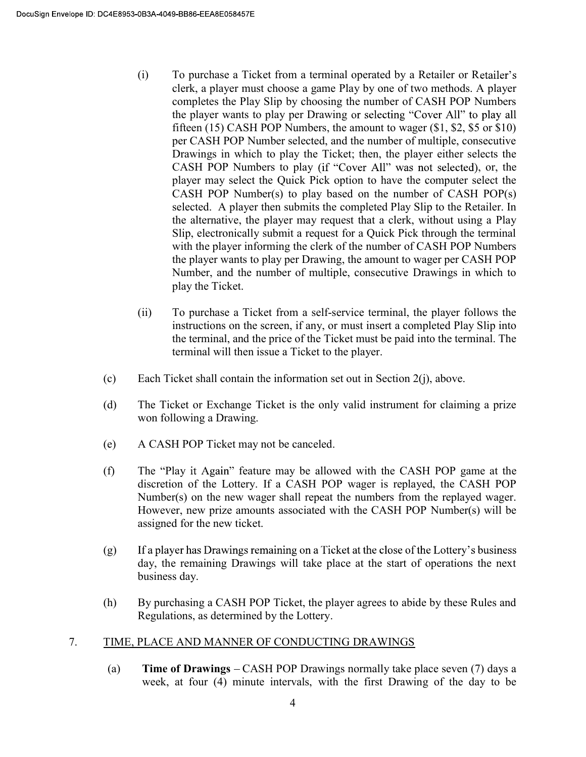- (i) To purchase a Ticket from a terminal operated by a Retailer or Retailer's clerk, a player must choose a game Play by one of two methods. A player completes the Play Slip by choosing the number of CASH POP Numbers the player wants to play per Drawing or selecting "Cover All" to play all fifteen (15) CASH POP Numbers, the amount to wager (\$1, \$2, \$5 or \$10) per CASH POP Number selected, and the number of multiple, consecutive Drawings in which to play the Ticket; then, the player either selects the CASH POP Numbers to play (if "Cover All" was not selected), or, the player may select the Quick Pick option to have the computer select the CASH POP Number(s) to play based on the number of CASH POP(s) selected. A player then submits the completed Play Slip to the Retailer. In the alternative, the player may request that a clerk, without using a Play Slip, electronically submit a request for a Quick Pick through the terminal with the player informing the clerk of the number of CASH POP Numbers the player wants to play per Drawing, the amount to wager per CASH POP Number, and the number of multiple, consecutive Drawings in which to play the Ticket.
- (ii) To purchase a Ticket from a self-service terminal, the player follows the instructions on the screen, if any, or must insert a completed Play Slip into the terminal, and the price of the Ticket must be paid into the terminal. The terminal will then issue a Ticket to the player.
- (c) Each Ticket shall contain the information set out in Section 2(j), above.
- (d) The Ticket or Exchange Ticket is the only valid instrument for claiming a prize won following a Drawing.
- (e) A CASH POP Ticket may not be canceled.
- (f) The "Play it Again" feature may be allowed with the CASH POP game at the discretion of the Lottery. If a CASH POP wager is replayed, the CASH POP Number(s) on the new wager shall repeat the numbers from the replayed wager. However, new prize amounts associated with the CASH POP Number(s) will be assigned for the new ticket.
- If a player has Drawings remaining on a Ticket at the close of the Lottery's business (g) day, the remaining Drawings will take place at the start of operations the next business day.
- (h) By purchasing a CASH POP Ticket, the player agrees to abide by these Rules and Regulations, as determined by the Lottery.

#### 7. TIME, PLACE AND MANNER OF CONDUCTING DRAWINGS

(a) **Time of Drawings**  $-CASH POP Drawing normally take place seven (7) days a$ week, at four (4) minute intervals, with the first Drawing of the day to be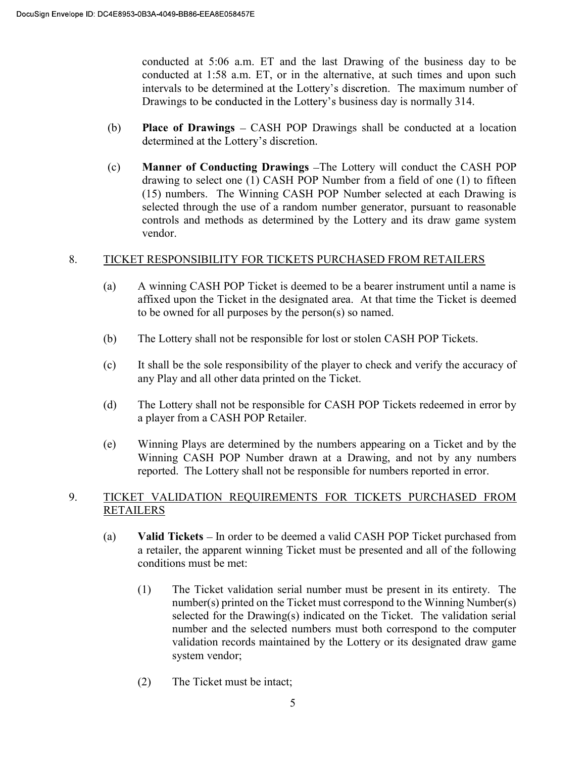conducted at 5:06 a.m. ET and the last Drawing of the business day to be conducted at 1:58 a.m. ET, or in the alternative, at such times and upon such intervals to be determined at the Lottery's discretion. The maximum number of Drawings to be conducted in the Lottery's business day is normally 314.

- (b) Place of Drawings  $-$  CASH POP Drawings shall be conducted at a location determined at the Lottery's discretion.
- (c) Manner of Conducting Drawings The Lottery will conduct the CASH POP drawing to select one (1) CASH POP Number from a field of one (1) to fifteen (15) numbers. The Winning CASH POP Number selected at each Drawing is selected through the use of a random number generator, pursuant to reasonable controls and methods as determined by the Lottery and its draw game system vendor.

## 8. TICKET RESPONSIBILITY FOR TICKETS PURCHASED FROM RETAILERS

- (a) A winning CASH POP Ticket is deemed to be a bearer instrument until a name is affixed upon the Ticket in the designated area. At that time the Ticket is deemed to be owned for all purposes by the person(s) so named.
- (b) The Lottery shall not be responsible for lost or stolen CASH POP Tickets.
- (c) It shall be the sole responsibility of the player to check and verify the accuracy of any Play and all other data printed on the Ticket.
- (d) The Lottery shall not be responsible for CASH POP Tickets redeemed in error by a player from a CASH POP Retailer.
- (e) Winning Plays are determined by the numbers appearing on a Ticket and by the Winning CASH POP Number drawn at a Drawing, and not by any numbers reported. The Lottery shall not be responsible for numbers reported in error.

## 9. TICKET VALIDATION REQUIREMENTS FOR TICKETS PURCHASED FROM RETAILERS

- (a) Valid Tickets In order to be deemed a valid CASH POP Ticket purchased from a retailer, the apparent winning Ticket must be presented and all of the following conditions must be met:
	- (1) The Ticket validation serial number must be present in its entirety. The number(s) printed on the Ticket must correspond to the Winning Number(s) selected for the Drawing(s) indicated on the Ticket. The validation serial number and the selected numbers must both correspond to the computer validation records maintained by the Lottery or its designated draw game system vendor;
	- (2) The Ticket must be intact;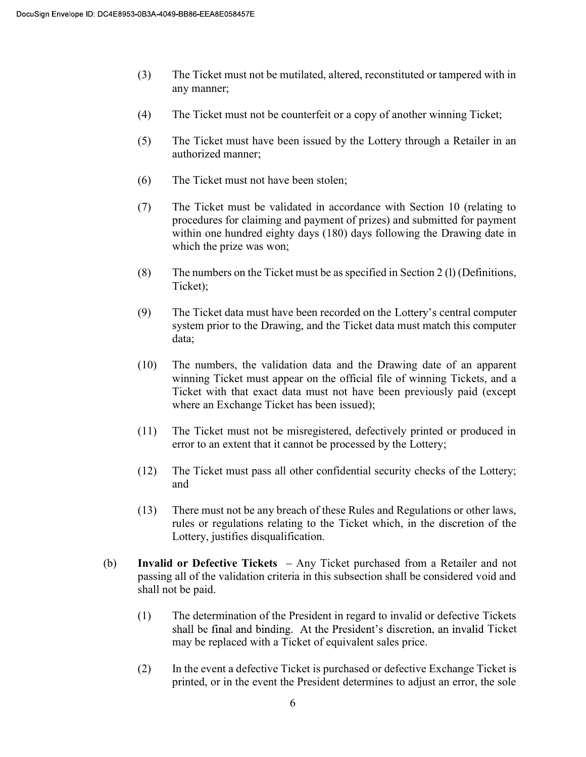- (3) The Ticket must not be mutilated, altered, reconstituted or tampered with in any manner;
- (4) The Ticket must not be counterfeit or a copy of another winning Ticket;
- (5) The Ticket must have been issued by the Lottery through a Retailer in an authorized manner;
- (6) The Ticket must not have been stolen;
- (7) The Ticket must be validated in accordance with Section 10 (relating to procedures for claiming and payment of prizes) and submitted for payment within one hundred eighty days (180) days following the Drawing date in which the prize was won;
- (8) The numbers on the Ticket must be as specified in Section 2 (l) (Definitions, Ticket);
- $(9)$  The Ticket data must have been recorded on the Lottery's central computer system prior to the Drawing, and the Ticket data must match this computer data;
- (10) The numbers, the validation data and the Drawing date of an apparent winning Ticket must appear on the official file of winning Tickets, and a Ticket with that exact data must not have been previously paid (except where an Exchange Ticket has been issued);
- (11) The Ticket must not be misregistered, defectively printed or produced in error to an extent that it cannot be processed by the Lottery;
- (12) The Ticket must pass all other confidential security checks of the Lottery; and
- (13) There must not be any breach of these Rules and Regulations or other laws, rules or regulations relating to the Ticket which, in the discretion of the Lottery, justifies disqualification.
- (b) Invalid or Defective Tickets  $-$  Any Ticket purchased from a Retailer and not passing all of the validation criteria in this subsection shall be considered void and shall not be paid.
	- (1) The determination of the President in regard to invalid or defective Tickets shall be final and binding. At the President's discretion, an invalid Ticket may be replaced with a Ticket of equivalent sales price.
	- (2) In the event a defective Ticket is purchased or defective Exchange Ticket is printed, or in the event the President determines to adjust an error, the sole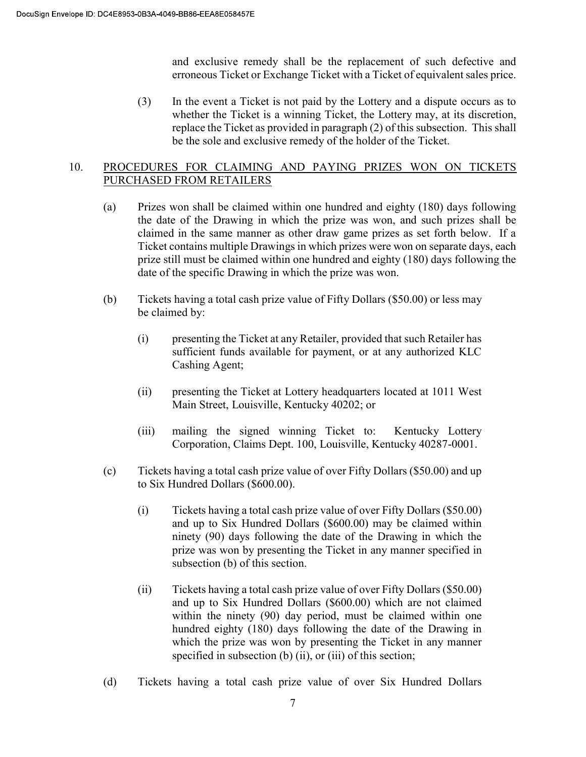and exclusive remedy shall be the replacement of such defective and erroneous Ticket or Exchange Ticket with a Ticket of equivalent sales price.

(3) In the event a Ticket is not paid by the Lottery and a dispute occurs as to whether the Ticket is a winning Ticket, the Lottery may, at its discretion, replace the Ticket as provided in paragraph (2) of this subsection. This shall be the sole and exclusive remedy of the holder of the Ticket.

### 10. PROCEDURES FOR CLAIMING AND PAYING PRIZES WON ON TICKETS PURCHASED FROM RETAILERS

- (a) Prizes won shall be claimed within one hundred and eighty (180) days following the date of the Drawing in which the prize was won, and such prizes shall be claimed in the same manner as other draw game prizes as set forth below. If a Ticket contains multiple Drawings in which prizes were won on separate days, each prize still must be claimed within one hundred and eighty (180) days following the date of the specific Drawing in which the prize was won.
- (b) Tickets having a total cash prize value of Fifty Dollars (\$50.00) or less may be claimed by:
	- (i) presenting the Ticket at any Retailer, provided that such Retailer has sufficient funds available for payment, or at any authorized KLC Cashing Agent;
	- (ii) presenting the Ticket at Lottery headquarters located at 1011 West Main Street, Louisville, Kentucky 40202; or
	- (iii) mailing the signed winning Ticket to: Kentucky Lottery Corporation, Claims Dept. 100, Louisville, Kentucky 40287-0001.
- (c) Tickets having a total cash prize value of over Fifty Dollars (\$50.00) and up to Six Hundred Dollars (\$600.00).
	- (i) Tickets having a total cash prize value of over Fifty Dollars (\$50.00) and up to Six Hundred Dollars (\$600.00) may be claimed within ninety (90) days following the date of the Drawing in which the prize was won by presenting the Ticket in any manner specified in subsection (b) of this section.
	- (ii) Tickets having a total cash prize value of over Fifty Dollars (\$50.00) and up to Six Hundred Dollars (\$600.00) which are not claimed within the ninety (90) day period, must be claimed within one hundred eighty (180) days following the date of the Drawing in which the prize was won by presenting the Ticket in any manner specified in subsection (b) (ii), or (iii) of this section;
- (d) Tickets having a total cash prize value of over Six Hundred Dollars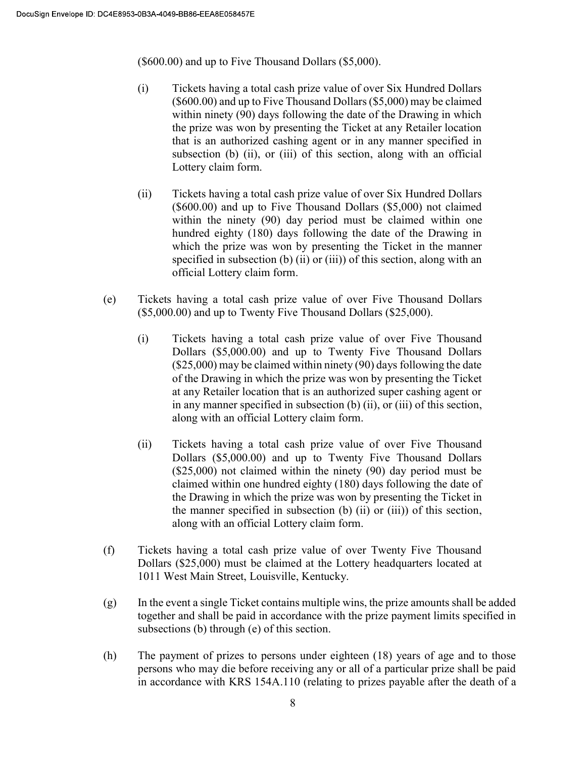(\$600.00) and up to Five Thousand Dollars (\$5,000).

- (i) Tickets having a total cash prize value of over Six Hundred Dollars (\$600.00) and up to Five Thousand Dollars (\$5,000) may be claimed within ninety (90) days following the date of the Drawing in which the prize was won by presenting the Ticket at any Retailer location that is an authorized cashing agent or in any manner specified in subsection (b) (ii), or (iii) of this section, along with an official Lottery claim form.
- (ii) Tickets having a total cash prize value of over Six Hundred Dollars (\$600.00) and up to Five Thousand Dollars (\$5,000) not claimed within the ninety (90) day period must be claimed within one hundred eighty (180) days following the date of the Drawing in which the prize was won by presenting the Ticket in the manner specified in subsection (b) (ii) or (iii)) of this section, along with an official Lottery claim form.
- (e) Tickets having a total cash prize value of over Five Thousand Dollars (\$5,000.00) and up to Twenty Five Thousand Dollars (\$25,000).
	- (i) Tickets having a total cash prize value of over Five Thousand Dollars (\$5,000.00) and up to Twenty Five Thousand Dollars (\$25,000) may be claimed within ninety (90) days following the date of the Drawing in which the prize was won by presenting the Ticket at any Retailer location that is an authorized super cashing agent or in any manner specified in subsection (b) (ii), or (iii) of this section, along with an official Lottery claim form.
	- (ii) Tickets having a total cash prize value of over Five Thousand Dollars (\$5,000.00) and up to Twenty Five Thousand Dollars (\$25,000) not claimed within the ninety (90) day period must be claimed within one hundred eighty (180) days following the date of the Drawing in which the prize was won by presenting the Ticket in the manner specified in subsection (b) (ii) or (iii)) of this section, along with an official Lottery claim form.
- (f) Tickets having a total cash prize value of over Twenty Five Thousand Dollars (\$25,000) must be claimed at the Lottery headquarters located at 1011 West Main Street, Louisville, Kentucky.
- (g) In the event a single Ticket contains multiple wins, the prize amounts shall be added together and shall be paid in accordance with the prize payment limits specified in subsections (b) through (e) of this section.
- (h) The payment of prizes to persons under eighteen (18) years of age and to those persons who may die before receiving any or all of a particular prize shall be paid in accordance with KRS 154A.110 (relating to prizes payable after the death of a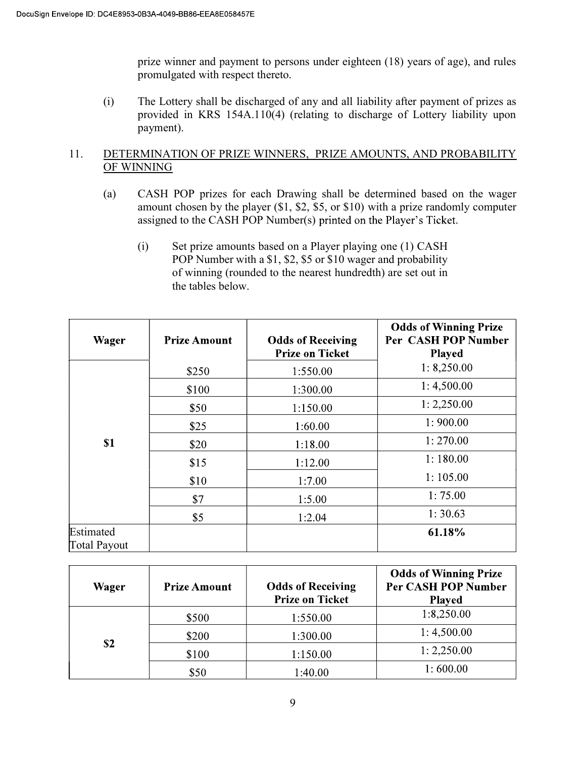prize winner and payment to persons under eighteen (18) years of age), and rules promulgated with respect thereto.

(i) The Lottery shall be discharged of any and all liability after payment of prizes as provided in KRS 154A.110(4) (relating to discharge of Lottery liability upon payment).

## 11. DETERMINATION OF PRIZE WINNERS, PRIZE AMOUNTS, AND PROBABILITY OF WINNING

- (a) CASH POP prizes for each Drawing shall be determined based on the wager amount chosen by the player (\$1, \$2, \$5, or \$10) with a prize randomly computer assigned to the CASH POP Number(s) printed on the Player's Ticket.
	- (i) Set prize amounts based on a Player playing one (1) CASH POP Number with a \$1, \$2, \$5 or \$10 wager and probability of winning (rounded to the nearest hundredth) are set out in the tables below.

| Wager               | <b>Prize Amount</b> | <b>Odds of Receiving</b><br><b>Prize on Ticket</b> | <b>Odds of Winning Prize</b><br>Per CASH POP Number<br><b>Played</b> |
|---------------------|---------------------|----------------------------------------------------|----------------------------------------------------------------------|
|                     | \$250               | 1:550.00                                           | 1: 8,250.00                                                          |
|                     | \$100               | 1:300.00                                           | 1:4,500.00                                                           |
|                     | \$50                | 1:150.00                                           | 1: 2,250.00                                                          |
|                     | \$25                | 1:60.00                                            | 1:900.00                                                             |
| S <sub>1</sub>      | \$20                | 1:18.00                                            | 1:270.00                                                             |
|                     | \$15                | 1:12.00                                            | 1:180.00                                                             |
|                     | \$10                | 1:7.00                                             | 1:105.00                                                             |
|                     | \$7                 | 1:5.00                                             | 1:75.00                                                              |
|                     | \$5                 | 1:2.04                                             | 1:30.63                                                              |
| Estimated           |                     |                                                    | 61.18%                                                               |
| <b>Total Payout</b> |                     |                                                    |                                                                      |

| Wager | <b>Prize Amount</b> | <b>Odds of Receiving</b><br><b>Prize on Ticket</b> | <b>Odds of Winning Prize</b><br><b>Per CASH POP Number</b><br><b>Played</b> |
|-------|---------------------|----------------------------------------------------|-----------------------------------------------------------------------------|
|       | \$500               | 1:550.00                                           | 1:8,250.00                                                                  |
|       | \$200               | 1:300.00                                           | 1:4,500.00                                                                  |
| \$2   | \$100               | 1:150.00                                           | 1: 2,250.00                                                                 |
|       | \$50                | 1:40.00                                            | 1:600.00                                                                    |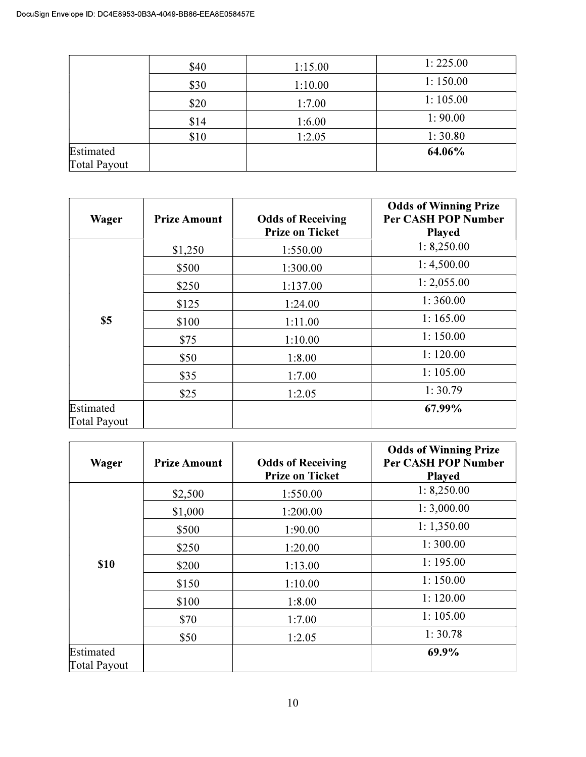|                     | \$40 | 1:15.00 | 1:225.00 |
|---------------------|------|---------|----------|
|                     | \$30 | 1:10.00 | 1:150.00 |
|                     | \$20 | 1:7.00  | 1:105.00 |
|                     | \$14 | 1:6.00  | 1:90.00  |
|                     | \$10 | 1:2.05  | 1:30.80  |
| Estimated           |      |         | 64.06%   |
| <b>Total Payout</b> |      |         |          |

| Wager               | <b>Prize Amount</b> | <b>Odds of Receiving</b><br><b>Prize on Ticket</b> | <b>Odds of Winning Prize</b><br><b>Per CASH POP Number</b><br><b>Played</b> |
|---------------------|---------------------|----------------------------------------------------|-----------------------------------------------------------------------------|
|                     | \$1,250             | 1:550.00                                           | 1: 8,250.00                                                                 |
|                     | \$500               | 1:300.00                                           | 1:4,500.00                                                                  |
|                     | \$250               | 1:137.00                                           | 1: 2,055.00                                                                 |
|                     | \$125               | 1:24.00                                            | 1:360.00                                                                    |
| \$5                 | \$100               | 1:11.00                                            | 1:165.00                                                                    |
|                     | \$75                | 1:10.00                                            | 1:150.00                                                                    |
|                     | \$50                | 1:8.00                                             | 1:120.00                                                                    |
|                     | \$35                | 1:7.00                                             | 1:105.00                                                                    |
|                     | \$25                | 1:2.05                                             | 1:30.79                                                                     |
| Estimated           |                     |                                                    | 67.99%                                                                      |
| <b>Total Payout</b> |                     |                                                    |                                                                             |

| Wager               | <b>Prize Amount</b> | <b>Odds of Receiving</b><br><b>Prize on Ticket</b> | <b>Odds of Winning Prize</b><br><b>Per CASH POP Number</b><br><b>Played</b> |
|---------------------|---------------------|----------------------------------------------------|-----------------------------------------------------------------------------|
|                     | \$2,500             | 1:550.00                                           | 1: 8,250.00                                                                 |
|                     | \$1,000             | 1:200.00                                           | 1:3,000.00                                                                  |
|                     | \$500               | 1:90.00                                            | 1:1,350.00                                                                  |
|                     | \$250               | 1:20.00                                            | 1:300.00                                                                    |
| <b>\$10</b>         | \$200               | 1:13.00                                            | 1:195.00                                                                    |
|                     | \$150               | 1:10.00                                            | 1:150.00                                                                    |
|                     | \$100               | 1:8.00                                             | 1:120.00                                                                    |
|                     | \$70                | 1:7.00                                             | 1:105.00                                                                    |
|                     | \$50                | 1:2.05                                             | 1:30.78                                                                     |
| Estimated           |                     |                                                    | 69.9%                                                                       |
| <b>Total Payout</b> |                     |                                                    |                                                                             |